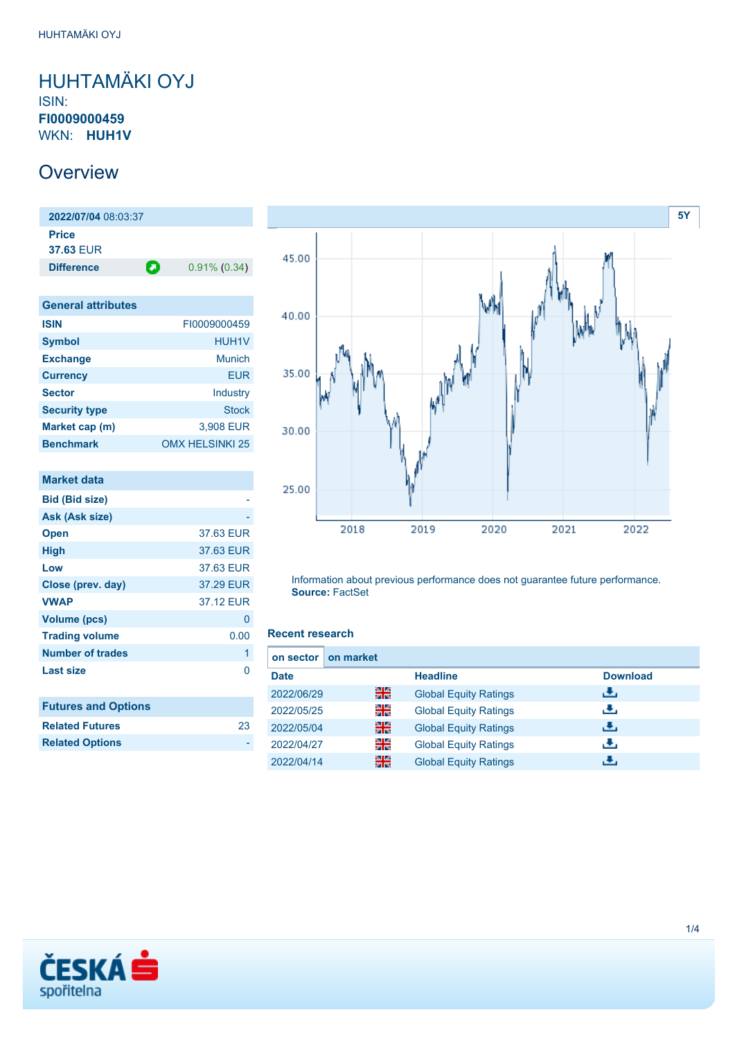### <span id="page-0-0"></span>HUHTAMÄKI OYJ ISIN: **FI0009000459** WKN: **HUH1V**

## **Overview**

**2022/07/04** 08:03:37 **Price 37.63** EUR **Difference 0.91% (0.34)** 

| <b>General attributes</b> |                        |
|---------------------------|------------------------|
| <b>ISIN</b>               | FI0009000459           |
| <b>Symbol</b>             | <b>HUH1V</b>           |
| <b>Exchange</b>           | Munich                 |
| <b>Currency</b>           | EUR                    |
| <b>Sector</b>             | Industry               |
| <b>Security type</b>      | <b>Stock</b>           |
| Market cap (m)            | 3,908 EUR              |
| <b>Benchmark</b>          | <b>OMX HELSINKI 25</b> |

| <b>Market data</b>         |           |
|----------------------------|-----------|
| <b>Bid (Bid size)</b>      |           |
| Ask (Ask size)             |           |
| <b>Open</b>                | 37.63 EUR |
| <b>High</b>                | 37.63 EUR |
| Low                        | 37.63 EUR |
| Close (prev. day)          | 37.29 EUR |
| <b>VWAP</b>                | 37.12 EUR |
| <b>Volume (pcs)</b>        | 0         |
| <b>Trading volume</b>      | 0.00      |
| <b>Number of trades</b>    | 1         |
| Last size                  | O         |
|                            |           |
| <b>Futures and Options</b> |           |
| <b>Related Futures</b>     | 23        |
| <b>Related Options</b>     |           |
|                            |           |



Information about previous performance does not guarantee future performance. **Source:** FactSet

#### **Recent research**

| on sector I | on market |                              |                 |
|-------------|-----------|------------------------------|-----------------|
| <b>Date</b> |           | <b>Headline</b>              | <b>Download</b> |
| 2022/06/29  | 을중        | <b>Global Equity Ratings</b> | ريان            |
| 2022/05/25  | 을         | <b>Global Equity Ratings</b> | æ,              |
| 2022/05/04  | 을중        | <b>Global Equity Ratings</b> | رنان            |
| 2022/04/27  | 을         | <b>Global Equity Ratings</b> | æ,              |
| 2022/04/14  | 噐         | <b>Global Equity Ratings</b> | ۰÷.             |

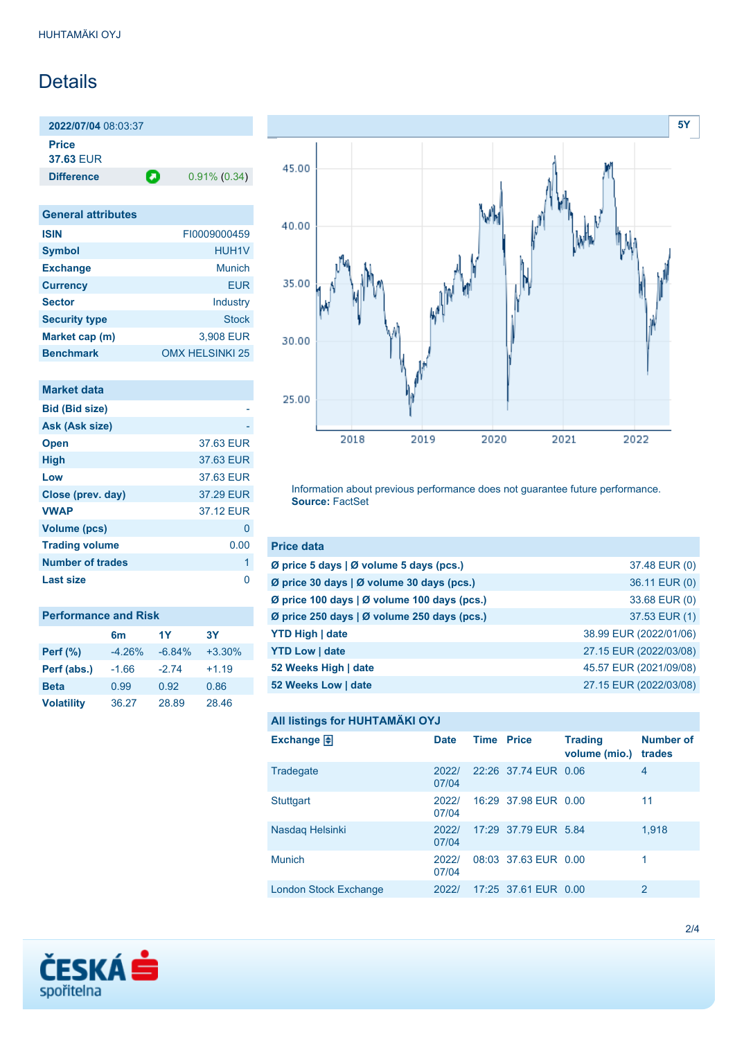## Details

**2022/07/04** 08:03:37 **Price 37.63** EUR

**Difference 0.91% (0.34)** 

| <b>General attributes</b> |                        |
|---------------------------|------------------------|
| <b>ISIN</b>               | FI0009000459           |
| <b>Symbol</b>             | <b>HUH1V</b>           |
| <b>Exchange</b>           | Munich                 |
| <b>Currency</b>           | <b>EUR</b>             |
| <b>Sector</b>             | Industry               |
| <b>Security type</b>      | Stock                  |
| Market cap (m)            | 3,908 EUR              |
| <b>Benchmark</b>          | <b>OMX HELSINKI 25</b> |

| <b>Market data</b>      |           |
|-------------------------|-----------|
| <b>Bid (Bid size)</b>   |           |
| Ask (Ask size)          |           |
| <b>Open</b>             | 37.63 EUR |
| <b>High</b>             | 37.63 EUR |
| Low                     | 37.63 EUR |
| Close (prev. day)       | 37.29 EUR |
| <b>VWAP</b>             | 37.12 FUR |
| <b>Volume (pcs)</b>     | O         |
| <b>Trading volume</b>   | 0.00      |
| <b>Number of trades</b> | 1         |
| Last size               |           |
|                         |           |

| <b>Performance and Risk</b> |                |          |           |  |
|-----------------------------|----------------|----------|-----------|--|
|                             | 6 <sub>m</sub> | 1Y       | <b>3Y</b> |  |
| <b>Perf</b> (%)             | $-4.26%$       | $-6.84%$ | $+3.30%$  |  |
| Perf (abs.)                 | $-1.66$        | $-2.74$  | $+1.19$   |  |
| <b>Beta</b>                 | 0.99           | 0.92     | 0.86      |  |
| <b>Volatility</b>           | 36.27          | 28.89    | 28.46     |  |



Information about previous performance does not guarantee future performance. **Source:** FactSet

| <b>Price data</b>                           |                        |
|---------------------------------------------|------------------------|
| Ø price 5 days   Ø volume 5 days (pcs.)     | 37.48 EUR (0)          |
| Ø price 30 days   Ø volume 30 days (pcs.)   | 36.11 EUR (0)          |
| Ø price 100 days   Ø volume 100 days (pcs.) | 33.68 EUR (0)          |
| Ø price 250 days   Ø volume 250 days (pcs.) | 37.53 EUR (1)          |
| <b>YTD High   date</b>                      | 38.99 EUR (2022/01/06) |
| <b>YTD Low   date</b>                       | 27.15 EUR (2022/03/08) |
| 52 Weeks High   date                        | 45.57 EUR (2021/09/08) |
| 52 Weeks Low   date                         | 27.15 EUR (2022/03/08) |

```
All listings for HUHTAMÄKI OYJ
```

| Exchange $\bigoplus$  | <b>Date</b>    | <b>Time Price</b> |                      | <b>Trading</b><br>volume (mio.) | <b>Number of</b><br>trades |
|-----------------------|----------------|-------------------|----------------------|---------------------------------|----------------------------|
| Tradegate             | 2022/<br>07/04 |                   | 22:26 37.74 EUR 0.06 |                                 | 4                          |
| <b>Stuttgart</b>      | 2022/<br>07/04 |                   | 16:29 37.98 EUR 0.00 |                                 | 11                         |
| Nasdaq Helsinki       | 2022/<br>07/04 |                   | 17:29 37.79 EUR 5.84 |                                 | 1,918                      |
| <b>Munich</b>         | 2022/<br>07/04 |                   | 08:03 37.63 EUR 0.00 |                                 | 1                          |
| London Stock Exchange | 2022/          |                   | 17:25 37.61 EUR 0.00 |                                 | 2                          |

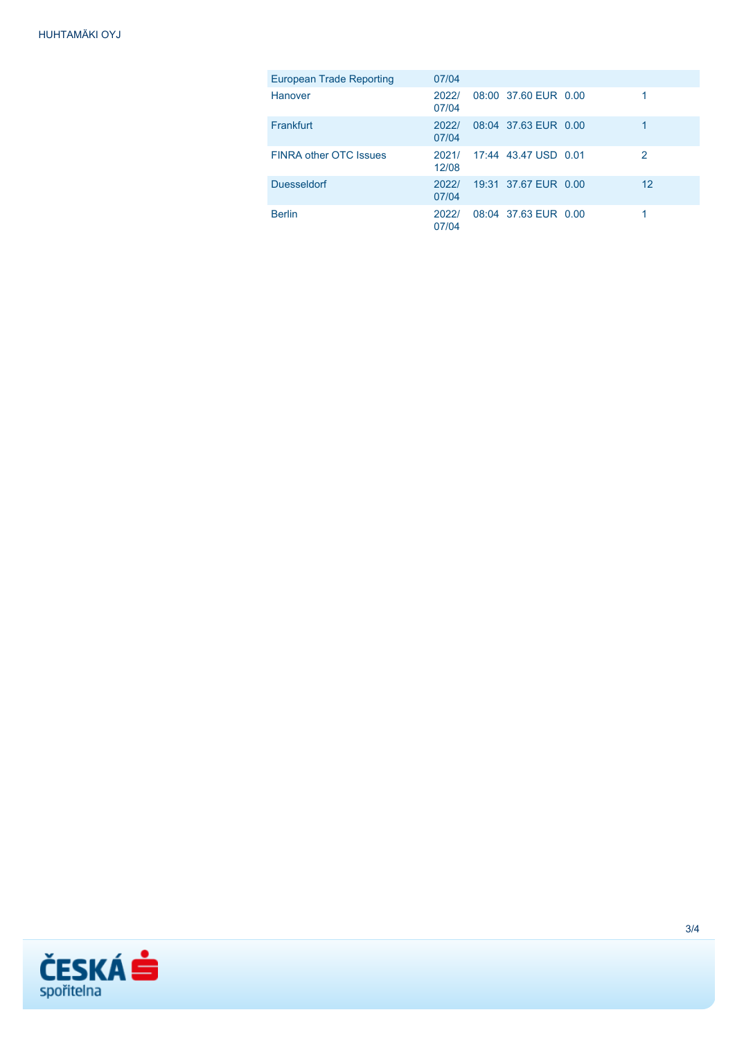| European Trade Reporting      | 07/04          |                            |    |
|-------------------------------|----------------|----------------------------|----|
| Hanover                       | 2022/<br>07/04 | 08:00 37.60 EUR 0.00       |    |
| Frankfurt                     | 2022/<br>07/04 | 08:04 37.63 EUR 0.00       |    |
| <b>FINRA other OTC Issues</b> | 12/08          | 2021/ 17:44 43.47 USD 0.01 | 2  |
| <b>Duesseldorf</b>            | 2022/<br>07/04 | 19:31 37.67 EUR 0.00       | 12 |
| <b>Berlin</b>                 | 2022/<br>07/04 | 08:04 37.63 EUR 0.00       |    |